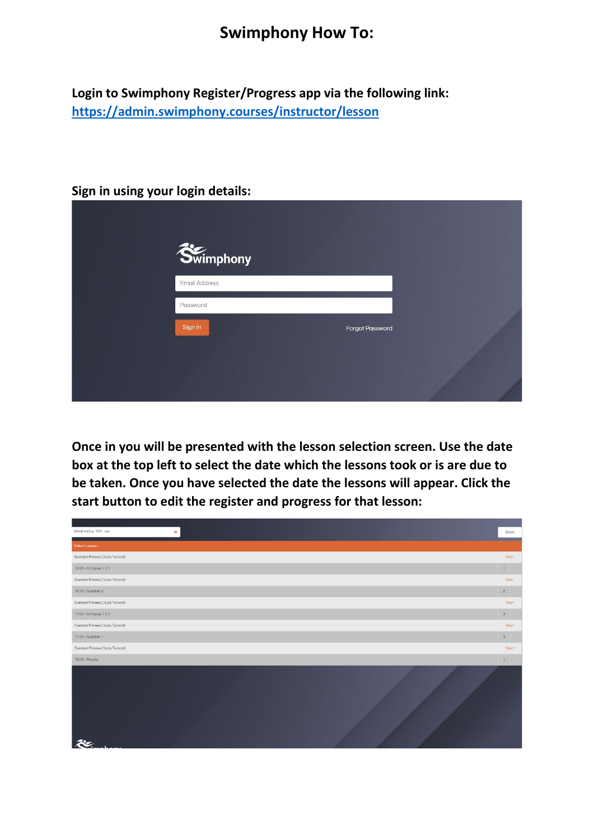## **Swimphony How To:**

**Login to Swimphony Register/Progress app via the following link: <https://admin.swimphony.courses/instructor/lesson>**

## **Sign in using your login details:**

| Swimphony     |                        |  |
|---------------|------------------------|--|
| Email Address |                        |  |
| Password      |                        |  |
| Sign In       | <b>Forgot Password</b> |  |
|               |                        |  |

**Once in you will be presented with the lesson selection screen. Use the date box at the top left to select the date which the lessons took or is are due to be taken. Once you have selected the date the lessons will appear. Click the start button to edit the register and progress for that lesson:**

| Wednesday 12th Jan<br>÷                | Back           |
|----------------------------------------|----------------|
| Select Lesson                          |                |
| Everlast Fitness Clubs Tunstall        | Start          |
| 16:00 - Octopus 1 2 3                  | $1 -$          |
| Everlast Fitness Clubs Tunstall        | Start          |
| 16:30 - Goldfish 2                     | 2 <sup>7</sup> |
| <b>Everlast Fitness Clubs Tunstall</b> | Start          |
| 17:00 - Octopus 1 2 3                  | $3 -$          |
| Everlast Fitness Clubs Tunstall        | Start          |
| 17:30 - Goldfish 1                     | $3 -$          |
| Everlast Fitness Clubs Tunstall        | Start          |
| 18:00 - Private                        | $1 -$          |
|                                        |                |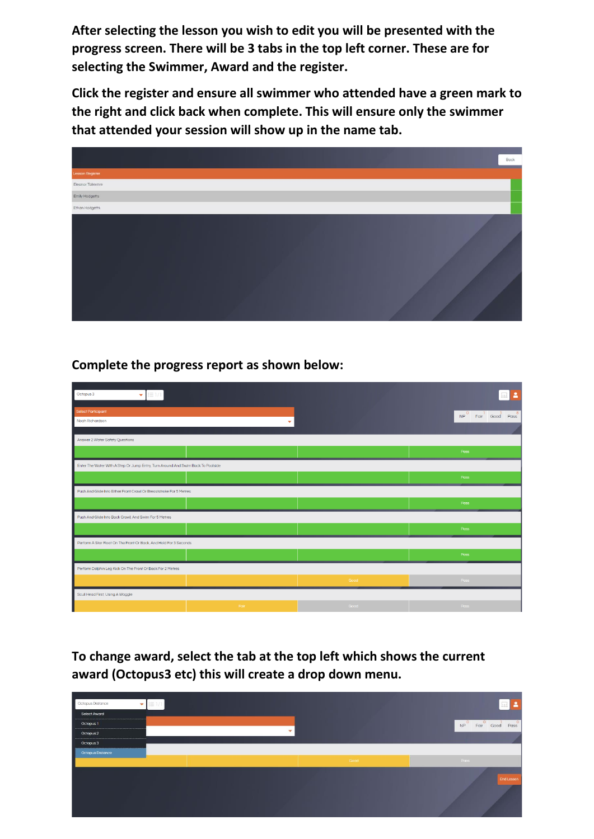**After selecting the lesson you wish to edit you will be presented with the progress screen. There will be 3 tabs in the top left corner. These are for selecting the Swimmer, Award and the register.**

**Click the register and ensure all swimmer who attended have a green mark to the right and click back when complete. This will ensure only the swimmer that attended your session will show up in the name tab.**



## **Complete the progress report as shown below:**

| Octopus 3<br>÷<br> 三1/1                                                          |      |      | $\overline{\mathbf{a}}$           |
|----------------------------------------------------------------------------------|------|------|-----------------------------------|
|                                                                                  |      |      |                                   |
| Select Participant                                                               |      |      | Fair Good Pass<br>NP <sup>0</sup> |
| Noah Richardson                                                                  | ۰    |      |                                   |
|                                                                                  |      |      |                                   |
| Answer 2 Water Safety Questions                                                  |      |      |                                   |
|                                                                                  |      |      | Pass                              |
| Enter The Water With A Step Or Jump Entry, Turn Around And Swim Back To Poolside |      |      |                                   |
|                                                                                  |      |      | Pass                              |
| Push And Glide Into Either Front Crawl Or Breaststroke For 5 Metres              |      |      |                                   |
|                                                                                  |      |      | Pass                              |
| Push And Glide Into Back Crawl, And Swim For 5 Metres                            |      |      |                                   |
|                                                                                  |      |      | Pass                              |
| Perform A Star Float On The Front Or Back, And Hold For 3 Seconds                |      |      |                                   |
|                                                                                  |      |      | Pass                              |
| Perform Dolphin Leg Kick On The Front Or Back For 2 Metres                       |      |      |                                   |
|                                                                                  |      | Good | Pass                              |
| Scull Head First, Using A Woggle                                                 |      |      |                                   |
|                                                                                  | Fair | Good | Pass                              |

**To change award, select the tab at the top left which shows the current award (Octopus3 etc) this will create a drop down menu.** 

| Octopus Distance<br>$\overline{\mathbf{v}}$ | $i \equiv 1/1$ |      | 2                                |
|---------------------------------------------|----------------|------|----------------------------------|
| <b>Select Award</b>                         |                |      |                                  |
| Octopus 1                                   |                |      | $NP$ <sup>0</sup> Fair Good Pass |
| Octopus 2                                   | $\mathbf{v}$   |      |                                  |
| Octopus 3                                   |                |      |                                  |
| ı<br><b>Octopus Distance</b>                |                |      |                                  |
|                                             |                | Good | Pass                             |
|                                             |                |      | End Lesson                       |